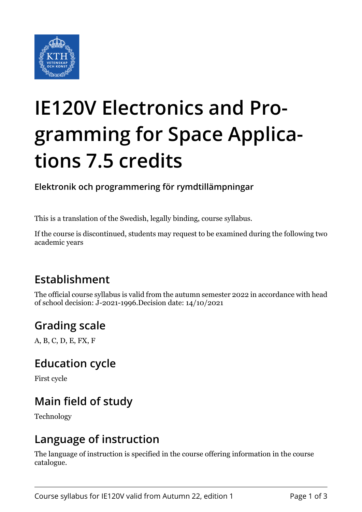

# **IE120V Electronics and Programming for Space Applications 7.5 credits**

**Elektronik och programmering för rymdtillämpningar**

This is a translation of the Swedish, legally binding, course syllabus.

If the course is discontinued, students may request to be examined during the following two academic years

## **Establishment**

The official course syllabus is valid from the autumn semester 2022 in accordance with head of school decision: J-2021-1996.Decision date: 14/10/2021

## **Grading scale**

A, B, C, D, E, FX, F

#### **Education cycle**

First cycle

## **Main field of study**

Technology

#### **Language of instruction**

The language of instruction is specified in the course offering information in the course catalogue.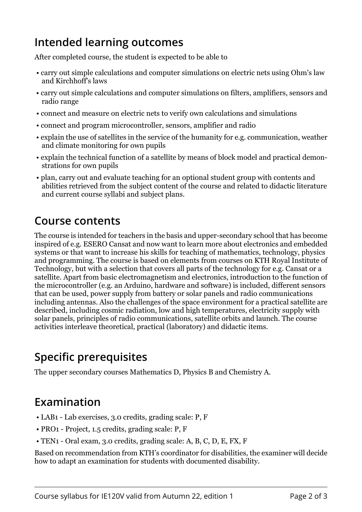## **Intended learning outcomes**

After completed course, the student is expected to be able to

- carry out simple calculations and computer simulations on electric nets using Ohm's law and Kirchhoff's laws
- carry out simple calculations and computer simulations on filters, amplifiers, sensors and radio range
- connect and measure on electric nets to verify own calculations and simulations
- connect and program microcontroller, sensors, amplifier and radio
- explain the use of satellites in the service of the humanity for e.g. communication, weather and climate monitoring for own pupils
- explain the technical function of a satellite by means of block model and practical demonstrations for own pupils
- plan, carry out and evaluate teaching for an optional student group with contents and abilities retrieved from the subject content of the course and related to didactic literature and current course syllabi and subject plans.

#### **Course contents**

The course is intended for teachers in the basis and upper-secondary school that has become inspired of e.g. ESERO Cansat and now want to learn more about electronics and embedded systems or that want to increase his skills for teaching of mathematics, technology, physics and programming. The course is based on elements from courses on KTH Royal Institute of Technology, but with a selection that covers all parts of the technology for e.g. Cansat or a satellite. Apart from basic electromagnetism and electronics, introduction to the function of the microcontroller (e.g. an Arduino, hardware and software) is included, different sensors that can be used, power supply from battery or solar panels and radio communications including antennas. Also the challenges of the space environment for a practical satellite are described, including cosmic radiation, low and high temperatures, electricity supply with solar panels, principles of radio communications, satellite orbits and launch. The course activities interleave theoretical, practical (laboratory) and didactic items.

## **Specific prerequisites**

The upper secondary courses Mathematics D, Physics B and Chemistry A.

## **Examination**

- LAB1 Lab exercises, 3.0 credits, grading scale: P, F
- PRO1 Project, 1.5 credits, grading scale: P, F
- TEN1 Oral exam, 3.0 credits, grading scale: A, B, C, D, E, FX, F

Based on recommendation from KTH's coordinator for disabilities, the examiner will decide how to adapt an examination for students with documented disability.